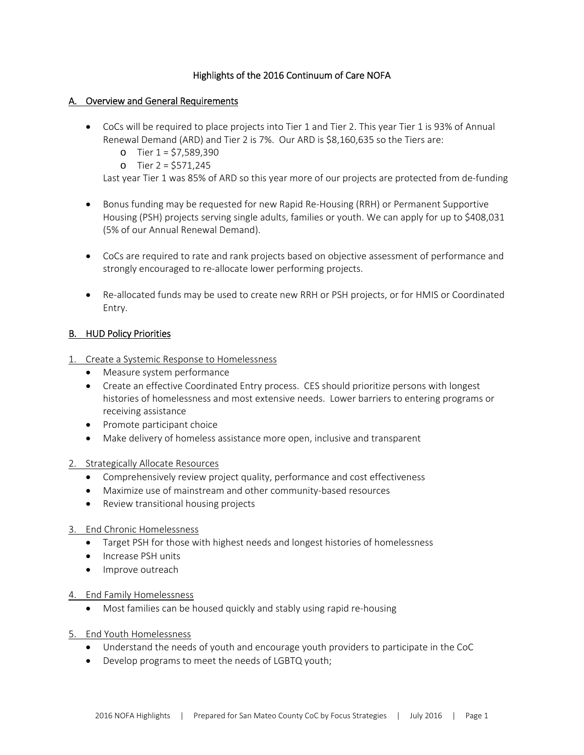# Highlights of the 2016 Continuum of Care NOFA

# A. Overview and General Requirements

- CoCs will be required to place projects into Tier 1 and Tier 2. This year Tier 1 is 93% of Annual Renewal Demand (ARD) and Tier 2 is 7%. Our ARD is \$8,160,635 so the Tiers are:
	- o Tier 1 = \$7,589,390
	- o Tier 2 = \$571,245

Last year Tier 1 was 85% of ARD so this year more of our projects are protected from de‐funding

- Bonus funding may be requested for new Rapid Re-Housing (RRH) or Permanent Supportive Housing (PSH) projects serving single adults, families or youth. We can apply for up to \$408,031 (5% of our Annual Renewal Demand).
- CoCs are required to rate and rank projects based on objective assessment of performance and strongly encouraged to re-allocate lower performing projects.
- Re-allocated funds may be used to create new RRH or PSH projects, or for HMIS or Coordinated Entry.

# B. HUD Policy Priorities

- 1. Create a Systemic Response to Homelessness
	- Measure system performance
	- Create an effective Coordinated Entry process. CES should prioritize persons with longest histories of homelessness and most extensive needs. Lower barriers to entering programs or receiving assistance
	- Promote participant choice
	- Make delivery of homeless assistance more open, inclusive and transparent

#### 2. Strategically Allocate Resources

- Comprehensively review project quality, performance and cost effectiveness
- Maximize use of mainstream and other community-based resources
- Review transitional housing projects
- 3. End Chronic Homelessness
	- Target PSH for those with highest needs and longest histories of homelessness
	- Increase PSH units
	- Improve outreach
- 4. End Family Homelessness
	- Most families can be housed quickly and stably using rapid re-housing
- 5. End Youth Homelessness
	- Understand the needs of youth and encourage youth providers to participate in the CoC
	- Develop programs to meet the needs of LGBTQ youth;